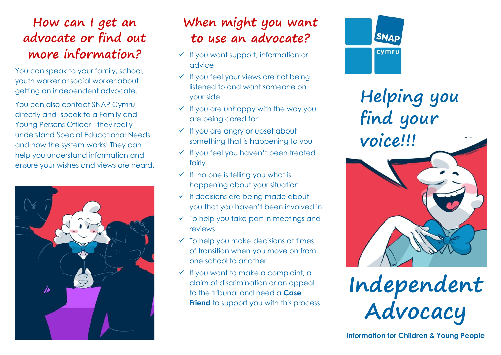## **How can I get an advocate or find out more information?**

You can speak to your family, school, youth worker or social worker about getting an independent advocate.

You can also contact SNAP Cymru directly and speak to a Family and Young Persons Officer - they really understand Special Educational Needs and how the system works! They can help you understand information and ensure your wishes and views are heard.



## **When might you want to use an advocate?**

- $\checkmark$  If you want support, information or advice
- $\checkmark$  If you feel your views are not being listened to and want someone on your side
- $\checkmark$  If you are unhappy with the way you are being cared for
- $\checkmark$  If you are angry or upset about something that is happening to you
- $\checkmark$  If you feel you haven't been treated fairly
- $\checkmark$  If no one is telling you what is happening about your situation
- $\checkmark$  If decisions are being made about you that you haven't been involved in
- $\checkmark$  To help you take part in meetings and reviews
- $\checkmark$  To help you make decisions at times of transition when you move on from one school to another
- $\checkmark$  If you want to make a complaint, a claim of discrimination or an appeal to the tribunal and need a **Case Friend** to support you with this process



**Helping you find your voice!!!**

**Independent Advocacy**